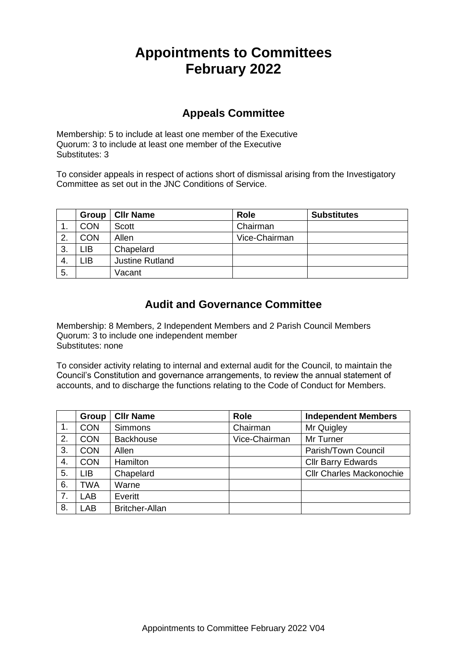# **Appointments to Committees February 2022**

## **Appeals Committee**

Membership: 5 to include at least one member of the Executive Quorum: 3 to include at least one member of the Executive Substitutes: 3

To consider appeals in respect of actions short of dismissal arising from the Investigatory Committee as set out in the JNC Conditions of Service.

|     | Group      | <b>CIIr Name</b>       | <b>Role</b>   | <b>Substitutes</b> |
|-----|------------|------------------------|---------------|--------------------|
| . . | <b>CON</b> | Scott                  | Chairman      |                    |
| າ   | <b>CON</b> | Allen                  | Vice-Chairman |                    |
| 3.  | LIB        | Chapelard              |               |                    |
| -4. | LIB        | <b>Justine Rutland</b> |               |                    |
| 5.  |            | Vacant                 |               |                    |

## **Audit and Governance Committee**

Membership: 8 Members, 2 Independent Members and 2 Parish Council Members Quorum: 3 to include one independent member Substitutes: none

To consider activity relating to internal and external audit for the Council, to maintain the Council's Constitution and governance arrangements, to review the annual statement of accounts, and to discharge the functions relating to the Code of Conduct for Members.

|    | Group      | <b>CIIr Name</b>      | <b>Role</b>   | <b>Independent Members</b>      |
|----|------------|-----------------------|---------------|---------------------------------|
| 1. | <b>CON</b> | <b>Simmons</b>        | Chairman      | Mr Quigley                      |
| 2. | <b>CON</b> | <b>Backhouse</b>      | Vice-Chairman | Mr Turner                       |
| 3. | <b>CON</b> | Allen                 |               | Parish/Town Council             |
| 4. | <b>CON</b> | Hamilton              |               | <b>Cllr Barry Edwards</b>       |
| 5. | <b>LIB</b> | Chapelard             |               | <b>Cllr Charles Mackonochie</b> |
| 6. | TWA        | Warne                 |               |                                 |
| 7. | <b>LAB</b> | Everitt               |               |                                 |
| 8. | <b>LAB</b> | <b>Britcher-Allan</b> |               |                                 |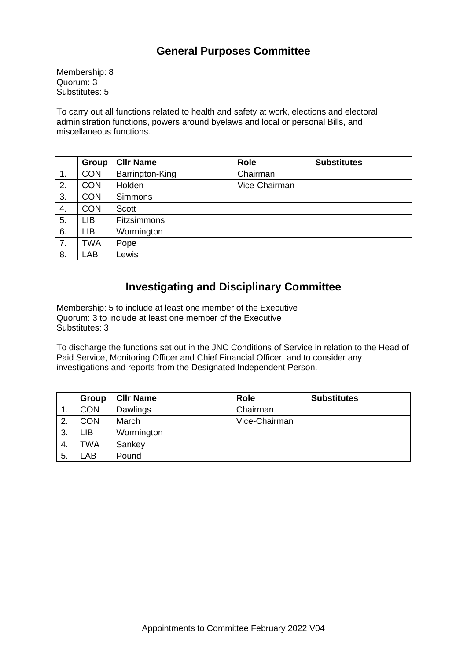# **General Purposes Committee**

Membership: 8 Quorum: 3 Substitutes: 5

To carry out all functions related to health and safety at work, elections and electoral administration functions, powers around byelaws and local or personal Bills, and miscellaneous functions.

|    | Group      | <b>CIIr Name</b>   | <b>Role</b>   | <b>Substitutes</b> |
|----|------------|--------------------|---------------|--------------------|
| 1. | <b>CON</b> | Barrington-King    | Chairman      |                    |
| 2. | <b>CON</b> | Holden             | Vice-Chairman |                    |
| 3. | <b>CON</b> | <b>Simmons</b>     |               |                    |
| 4. | <b>CON</b> | <b>Scott</b>       |               |                    |
| 5. | LIB        | <b>Fitzsimmons</b> |               |                    |
| 6. | LIB        | Wormington         |               |                    |
| 7. | <b>TWA</b> | Pope               |               |                    |
| 8. | LAB        | Lewis              |               |                    |

## **Investigating and Disciplinary Committee**

Membership: 5 to include at least one member of the Executive Quorum: 3 to include at least one member of the Executive Substitutes: 3

To discharge the functions set out in the JNC Conditions of Service in relation to the Head of Paid Service, Monitoring Officer and Chief Financial Officer, and to consider any investigations and reports from the Designated Independent Person.

|     | Group      | <b>CIIr Name</b> | <b>Role</b>   | <b>Substitutes</b> |
|-----|------------|------------------|---------------|--------------------|
| . . | <b>CON</b> | Dawlings         | Chairman      |                    |
| 2.  | <b>CON</b> | March            | Vice-Chairman |                    |
| -3. | LIB        | Wormington       |               |                    |
| 4.  | TWA        | Sankey           |               |                    |
| 5.  | .AB        | Pound            |               |                    |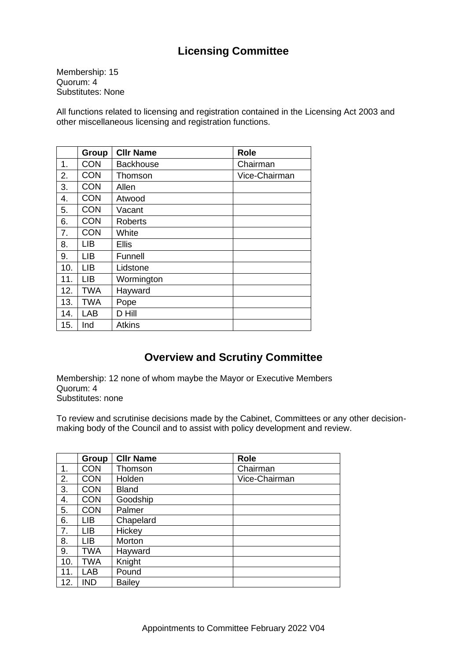# **Licensing Committee**

Membership: 15 Quorum: 4 Substitutes: None

All functions related to licensing and registration contained in the Licensing Act 2003 and other miscellaneous licensing and registration functions.

|     | <b>Group</b> | <b>CIIr Name</b> | <b>Role</b>   |
|-----|--------------|------------------|---------------|
| 1.  | <b>CON</b>   | Backhouse        | Chairman      |
| 2.  | <b>CON</b>   | Thomson          | Vice-Chairman |
| 3.  | <b>CON</b>   | Allen            |               |
| 4.  | <b>CON</b>   | Atwood           |               |
| 5.  | <b>CON</b>   | Vacant           |               |
| 6.  | <b>CON</b>   | <b>Roberts</b>   |               |
| 7.  | <b>CON</b>   | White            |               |
| 8.  | LІВ          | Ellis            |               |
| 9.  | <b>LIB</b>   | Funnell          |               |
| 10. | <b>LIB</b>   | Lidstone         |               |
| 11. | <b>LIB</b>   | Wormington       |               |
| 12. | <b>TWA</b>   | Hayward          |               |
| 13. | <b>TWA</b>   | Pope             |               |
| 14. | LAB          | D Hill           |               |
| 15. | Ind          | <b>Atkins</b>    |               |

## **Overview and Scrutiny Committee**

Membership: 12 none of whom maybe the Mayor or Executive Members Quorum: 4 Substitutes: none

To review and scrutinise decisions made by the Cabinet, Committees or any other decisionmaking body of the Council and to assist with policy development and review.

|     | <b>Group</b> | <b>CIIr Name</b> | Role          |
|-----|--------------|------------------|---------------|
| 1.  | <b>CON</b>   | Thomson          | Chairman      |
| 2.  | <b>CON</b>   | Holden           | Vice-Chairman |
| 3.  | <b>CON</b>   | <b>Bland</b>     |               |
| 4.  | <b>CON</b>   | Goodship         |               |
| 5.  | <b>CON</b>   | Palmer           |               |
| 6.  | <b>LIB</b>   | Chapelard        |               |
| 7.  | <b>LIB</b>   | Hickey           |               |
| 8.  | LIB          | Morton           |               |
| 9.  | <b>TWA</b>   | Hayward          |               |
| 10. | <b>TWA</b>   | Knight           |               |
| 11. | LAB          | Pound            |               |
| 12. | <b>IND</b>   | <b>Bailey</b>    |               |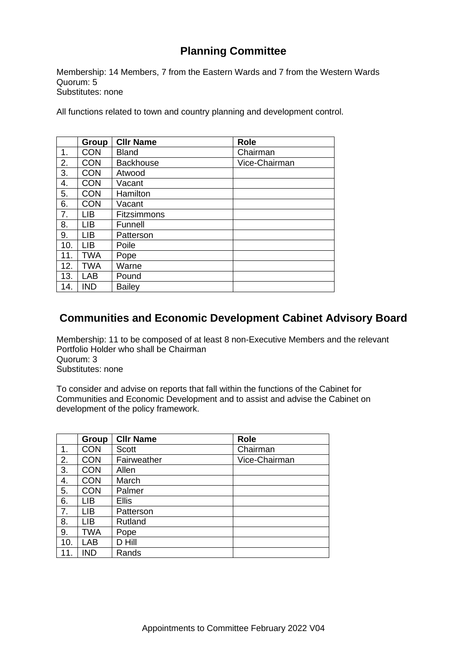# **Planning Committee**

Membership: 14 Members, 7 from the Eastern Wards and 7 from the Western Wards Quorum: 5 Substitutes: none

All functions related to town and country planning and development control.

|     | Group      | <b>CIIr Name</b>   | Role          |
|-----|------------|--------------------|---------------|
| 1.  | <b>CON</b> | <b>Bland</b>       | Chairman      |
| 2.  | <b>CON</b> | <b>Backhouse</b>   | Vice-Chairman |
| 3.  | <b>CON</b> | Atwood             |               |
| 4.  | <b>CON</b> | Vacant             |               |
| 5.  | <b>CON</b> | Hamilton           |               |
| 6.  | <b>CON</b> | Vacant             |               |
| 7.  | <b>LIB</b> | <b>Fitzsimmons</b> |               |
| 8.  | <b>LIB</b> | Funnell            |               |
| 9.  | <b>LIB</b> | Patterson          |               |
| 10. | <b>LIB</b> | Poile              |               |
| 11. | <b>TWA</b> | Pope               |               |
| 12. | <b>TWA</b> | Warne              |               |
| 13. | LAB        | Pound              |               |
| 14. | <b>IND</b> | <b>Bailey</b>      |               |

## **Communities and Economic Development Cabinet Advisory Board**

Membership: 11 to be composed of at least 8 non-Executive Members and the relevant Portfolio Holder who shall be Chairman Quorum: 3 Substitutes: none

To consider and advise on reports that fall within the functions of the Cabinet for Communities and Economic Development and to assist and advise the Cabinet on development of the policy framework.

|     | Group      | <b>CIIr Name</b> | <b>Role</b>   |
|-----|------------|------------------|---------------|
| 1.  | <b>CON</b> | <b>Scott</b>     | Chairman      |
| 2.  | <b>CON</b> | Fairweather      | Vice-Chairman |
| 3.  | <b>CON</b> | Allen            |               |
| 4.  | <b>CON</b> | March            |               |
| 5.  | <b>CON</b> | Palmer           |               |
| 6.  | LIB        | <b>Ellis</b>     |               |
| 7.  | <b>LIB</b> | Patterson        |               |
| 8.  | <b>LIB</b> | Rutland          |               |
| 9.  | <b>TWA</b> | Pope             |               |
| 10. | <b>LAB</b> | D Hill           |               |
|     | <b>IND</b> | Rands            |               |